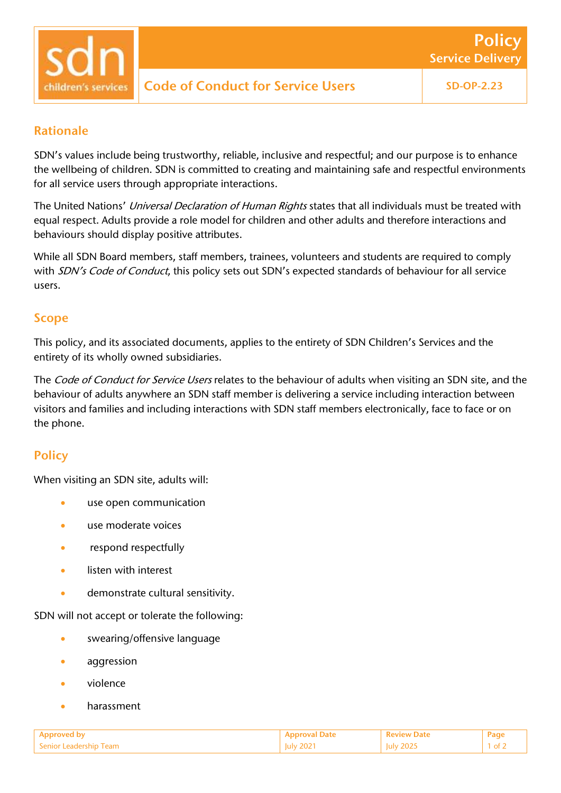#### Rationale

SDN's values include being trustworthy, reliable, inclusive and respectful; and our purpose is to enhance the wellbeing of children. SDN is committed to creating and maintaining safe and respectful environments for all service users through appropriate interactions.

The United Nations' Universal Declaration of Human Rights states that all individuals must be treated with equal respect. Adults provide a role model for children and other adults and therefore interactions and behaviours should display positive attributes.

While all SDN Board members, staff members, trainees, volunteers and students are required to comply with SDN's Code of Conduct, this policy sets out SDN's expected standards of behaviour for all service users.

#### Scope

This policy, and its associated documents, applies to the entirety of SDN Children's Services and the entirety of its wholly owned subsidiaries.

The Code of Conduct for Service Users relates to the behaviour of adults when visiting an SDN site, and the behaviour of adults anywhere an SDN staff member is delivering a service including interaction between visitors and families and including interactions with SDN staff members electronically, face to face or on the phone.

### **Policy**

When visiting an SDN site, adults will:

- use open communication
- use moderate voices
- respond respectfully
- listen with interest
- demonstrate cultural sensitivity.

SDN will not accept or tolerate the following:

- swearing/offensive language
- aggression
- violence
- harassment

| Approved <b>.</b>                  |          | <b>Peview Date</b>   | Pag. |
|------------------------------------|----------|----------------------|------|
| - Senior L<br>Leadership i<br>'eam | $-0 - 1$ | 202<br>[uly]<br>---- |      |